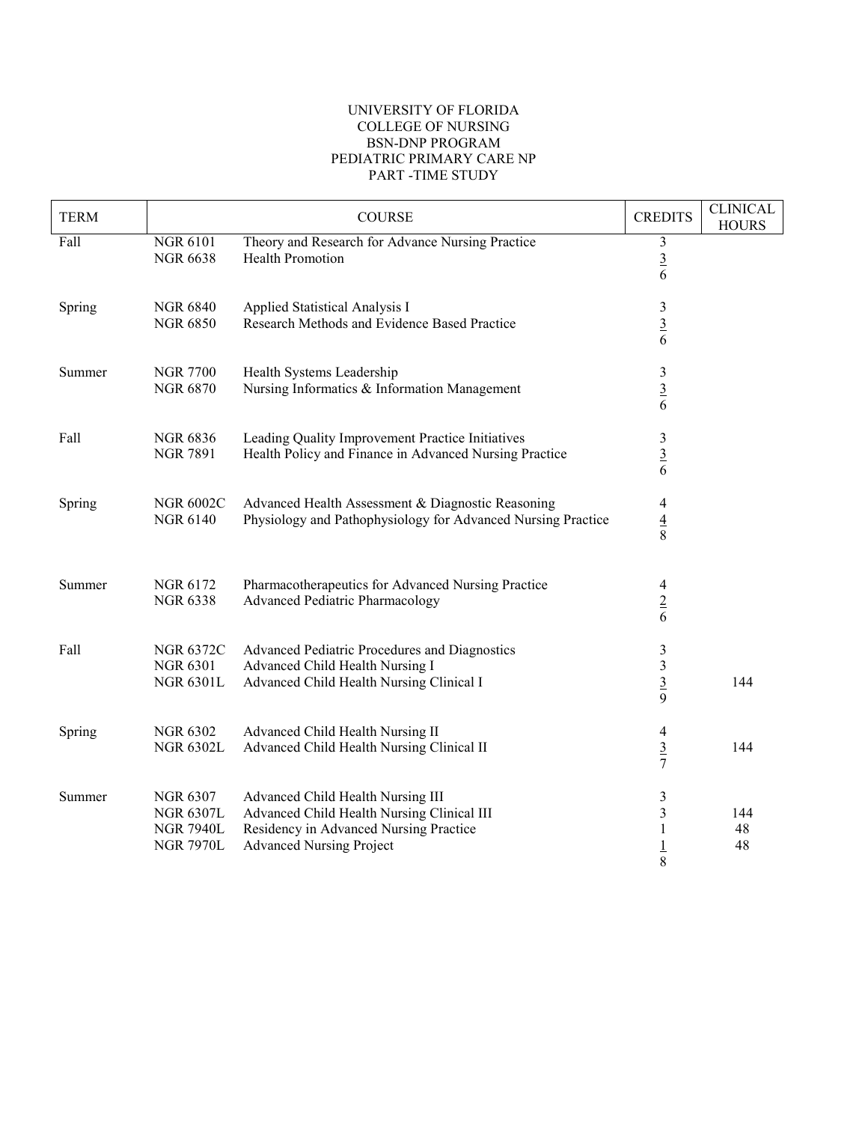## UNIVERSITY OF FLORIDA COLLEGE OF NURSING BSN-DNP PROGRAM PEDIATRIC PRIMARY CARE NP PART -TIME STUDY

| <b>TERM</b> |                                                                             | <b>COURSE</b>                                                                                                                                                | <b>CREDITS</b>                         | <b>CLINICAL</b><br><b>HOURS</b> |
|-------------|-----------------------------------------------------------------------------|--------------------------------------------------------------------------------------------------------------------------------------------------------------|----------------------------------------|---------------------------------|
| Fall        | <b>NGR 6101</b><br><b>NGR 6638</b>                                          | Theory and Research for Advance Nursing Practice<br>Health Promotion                                                                                         | $\sqrt{3}$<br>$\frac{3}{6}$            |                                 |
| Spring      | <b>NGR 6840</b><br><b>NGR 6850</b>                                          | Applied Statistical Analysis I<br>Research Methods and Evidence Based Practice                                                                               | 3<br>$rac{3}{6}$                       |                                 |
| Summer      | <b>NGR 7700</b><br><b>NGR 6870</b>                                          | Health Systems Leadership<br>Nursing Informatics & Information Management                                                                                    | $\mathfrak{Z}$<br>$\frac{3}{6}$        |                                 |
| Fall        | <b>NGR 6836</b><br><b>NGR 7891</b>                                          | Leading Quality Improvement Practice Initiatives<br>Health Policy and Finance in Advanced Nursing Practice                                                   | $\mathfrak{Z}$<br>$\frac{3}{6}$        |                                 |
| Spring      | <b>NGR 6002C</b><br><b>NGR 6140</b>                                         | Advanced Health Assessment & Diagnostic Reasoning<br>Physiology and Pathophysiology for Advanced Nursing Practice                                            | 4<br>$\frac{4}{8}$                     |                                 |
| Summer      | <b>NGR 6172</b><br><b>NGR 6338</b>                                          | Pharmacotherapeutics for Advanced Nursing Practice<br>Advanced Pediatric Pharmacology                                                                        | $\overline{4}$<br>$\underline{2}$<br>6 |                                 |
| Fall        | <b>NGR 6372C</b><br><b>NGR 6301</b><br><b>NGR 6301L</b>                     | Advanced Pediatric Procedures and Diagnostics<br>Advanced Child Health Nursing I<br>Advanced Child Health Nursing Clinical I                                 | 3<br>$\mathfrak{Z}$<br>$rac{3}{9}$     | 144                             |
| Spring      | <b>NGR 6302</b><br><b>NGR 6302L</b>                                         | Advanced Child Health Nursing II<br>Advanced Child Health Nursing Clinical II                                                                                | 4<br>$rac{3}{7}$                       | 144                             |
| Summer      | <b>NGR 6307</b><br><b>NGR 6307L</b><br><b>NGR 7940L</b><br><b>NGR 7970L</b> | Advanced Child Health Nursing III<br>Advanced Child Health Nursing Clinical III<br>Residency in Advanced Nursing Practice<br><b>Advanced Nursing Project</b> | 3<br>3<br>1<br>$\overline{1}$<br>8     | 144<br>48<br>48                 |